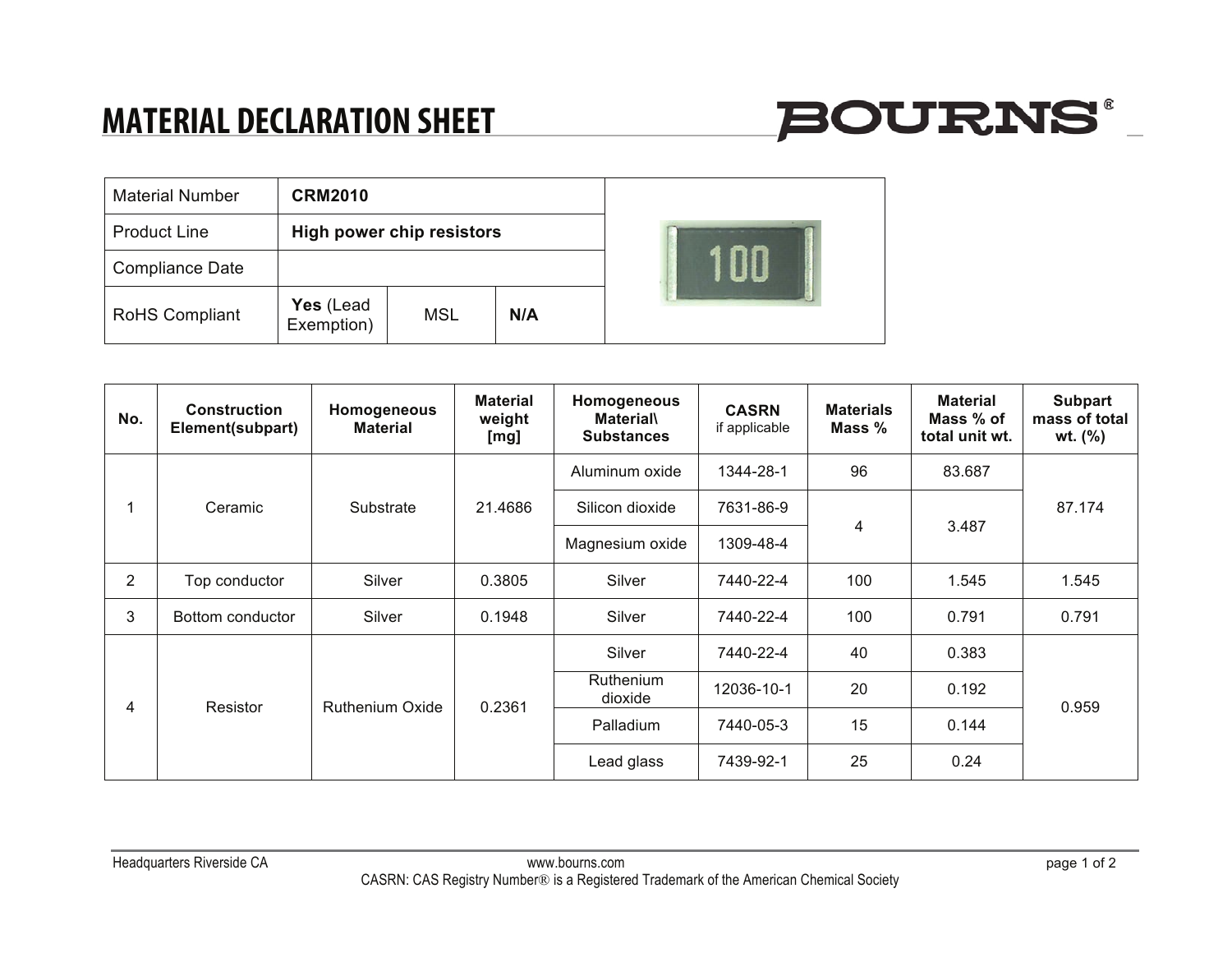### **MATERIAL DECLARATION SHEET**

| <b>Material Number</b> | <b>CRM2010</b>                   |            |     |  |
|------------------------|----------------------------------|------------|-----|--|
| <b>Product Line</b>    | <b>High power chip resistors</b> |            |     |  |
| <b>Compliance Date</b> |                                  |            |     |  |
| RoHS Compliant         | Yes (Lead<br>Exemption)          | <b>MSL</b> | N/A |  |

| No.            | <b>Construction</b><br>Element(subpart) | Homogeneous<br><b>Material</b> | <b>Material</b><br>weight<br>[mg] | Homogeneous<br><b>Material\</b><br><b>Substances</b> | <b>CASRN</b><br>if applicable | <b>Materials</b><br>Mass % | <b>Material</b><br>Mass % of<br>total unit wt. | <b>Subpart</b><br>mass of total<br>wt. (%) |
|----------------|-----------------------------------------|--------------------------------|-----------------------------------|------------------------------------------------------|-------------------------------|----------------------------|------------------------------------------------|--------------------------------------------|
|                | Ceramic                                 | Substrate                      | 21.4686                           | Aluminum oxide                                       | 1344-28-1                     | 96                         | 83.687                                         | 87.174                                     |
|                |                                         |                                |                                   | Silicon dioxide                                      | 7631-86-9                     | 4                          | 3.487                                          |                                            |
|                |                                         |                                |                                   | Magnesium oxide                                      | 1309-48-4                     |                            |                                                |                                            |
| $\overline{2}$ | Top conductor                           | Silver                         | 0.3805                            | Silver                                               | 7440-22-4                     | 100                        | 1.545                                          | 1.545                                      |
| 3              | Bottom conductor                        | Silver                         | 0.1948                            | Silver                                               | 7440-22-4                     | 100                        | 0.791                                          | 0.791                                      |
| 4              | Resistor                                | <b>Ruthenium Oxide</b>         | 0.2361                            | Silver                                               | 7440-22-4                     | 40                         | 0.383                                          | 0.959                                      |
|                |                                         |                                |                                   | Ruthenium<br>dioxide                                 | 12036-10-1                    | 20                         | 0.192                                          |                                            |
|                |                                         |                                |                                   | Palladium                                            | 7440-05-3                     | 15                         | 0.144                                          |                                            |
|                |                                         |                                |                                   | Lead glass                                           | 7439-92-1                     | 25                         | 0.24                                           |                                            |

**BOURNS®**